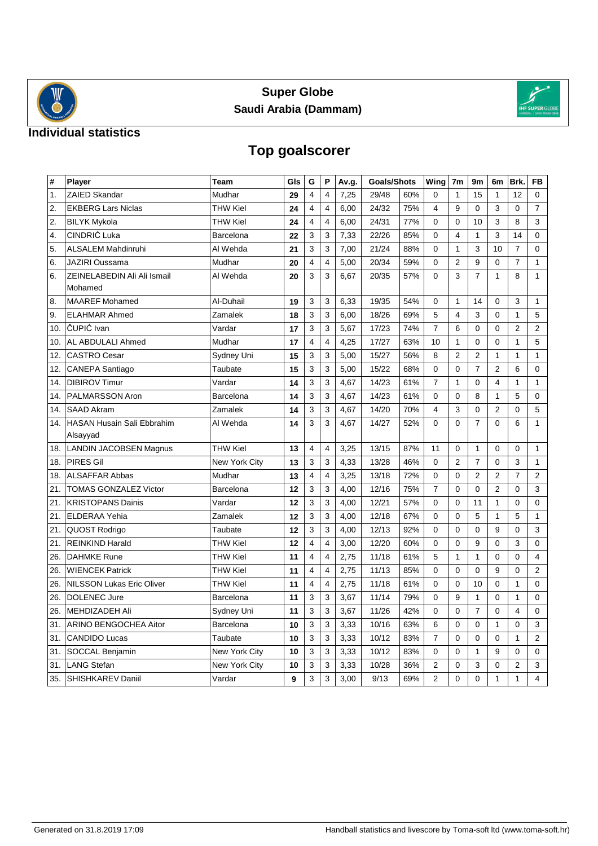



### **Individual statistics**

# **Top goalscorer**

| #              | Player                           | Team            | Gls | G                       | P                       | Av.g. | <b>Goals/Shots</b> |     | Wing           | 7 <sub>m</sub> | 9 <sub>m</sub> | 6m             | Brk.           | <b>FB</b>      |
|----------------|----------------------------------|-----------------|-----|-------------------------|-------------------------|-------|--------------------|-----|----------------|----------------|----------------|----------------|----------------|----------------|
| $\mathbf{1}$ . | ZAIED Skandar                    | Mudhar          | 29  | $\overline{4}$          | $\overline{\mathbf{4}}$ | 7,25  | 29/48              | 60% | 0              | $\mathbf{1}$   | 15             | $\mathbf{1}$   | 12             | $\mathbf 0$    |
| 2.             | <b>EKBERG Lars Niclas</b>        | THW Kiel        | 24  | 4                       | 4                       | 6,00  | 24/32              | 75% | $\overline{4}$ | 9              | $\mathbf 0$    | 3              | $\mathbf 0$    | $\overline{7}$ |
| 2.             | <b>BILYK Mykola</b>              | <b>THW Kiel</b> | 24  | $\overline{4}$          | 4                       | 6,00  | 24/31              | 77% | 0              | $\Omega$       | 10             | 3              | 8              | 3              |
| 4.             | CINDRIĆ Luka                     | Barcelona       | 22  | 3                       | 3                       | 7,33  | 22/26              | 85% | $\Omega$       | 4              | $\mathbf{1}$   | 3              | 14             | $\overline{0}$ |
| 5.             | <b>ALSALEM Mahdinruhi</b>        | Al Wehda        | 21  | 3                       | 3                       | 7,00  | 21/24              | 88% | 0              | $\mathbf{1}$   | 3              | 10             | $\overline{7}$ | 0              |
| 6.             | <b>JAZIRI Oussama</b>            | Mudhar          | 20  | 4                       | $\overline{4}$          | 5,00  | 20/34              | 59% | 0              | $\overline{2}$ | 9              | $\Omega$       | $\overline{7}$ | $\mathbf{1}$   |
| 6.             | ZEINELABEDIN Ali Ali Ismail      | Al Wehda        | 20  | 3                       | 3                       | 6,67  | 20/35              | 57% | $\mathbf 0$    | 3              | $\overline{7}$ | $\mathbf{1}$   | 8              | $\mathbf{1}$   |
|                | Mohamed                          |                 |     |                         |                         |       |                    |     |                |                |                |                |                |                |
| 8.             | <b>MAAREF</b> Mohamed            | Al-Duhail       | 19  | 3                       | 3                       | 6,33  | 19/35              | 54% | $\mathbf 0$    | $\mathbf{1}$   | 14             | $\mathbf 0$    | 3              | 1              |
| 9.             | <b>ELAHMAR Ahmed</b>             | Zamalek         | 18  | 3                       | 3                       | 6,00  | 18/26              | 69% | 5              | 4              | 3              | $\mathbf 0$    | $\mathbf{1}$   | 5              |
| 10.            | ČUPIĆ Ivan                       | Vardar          | 17  | 3                       | 3                       | 5,67  | 17/23              | 74% | 7              | 6              | 0              | 0              | $\overline{2}$ | $\overline{2}$ |
| 10.            | AL ABDULALI Ahmed                | Mudhar          | 17  | $\overline{4}$          | $\overline{4}$          | 4,25  | 17/27              | 63% | 10             | $\mathbf{1}$   | $\mathbf 0$    | $\mathbf 0$    | $\mathbf{1}$   | 5              |
| 12.            | <b>CASTRO Cesar</b>              | Sydney Uni      | 15  | 3                       | 3                       | 5,00  | 15/27              | 56% | 8              | $\overline{2}$ | $\overline{2}$ | $\mathbf{1}$   | $\mathbf{1}$   | $\mathbf{1}$   |
| 12.            | CANEPA Santiago                  | Taubate         | 15  | 3                       | 3                       | 5,00  | 15/22              | 68% | $\mathbf 0$    | $\mathbf 0$    | $\overline{7}$ | $\overline{2}$ | 6              | 0              |
| 14.            | <b>DIBIROV Timur</b>             | Vardar          | 14  | 3                       | 3                       | 4,67  | 14/23              | 61% | $\overline{7}$ | $\mathbf{1}$   | $\mathbf{0}$   | 4              | $\mathbf{1}$   | 1              |
| 14.            | PALMARSSON Aron                  | Barcelona       | 14  | 3                       | 3                       | 4,67  | 14/23              | 61% | $\Omega$       | $\Omega$       | 8              | $\mathbf{1}$   | 5              | 0              |
| 14.            | <b>SAAD Akram</b>                | Zamalek         | 14  | 3                       | 3                       | 4,67  | 14/20              | 70% | 4              | 3              | $\mathbf 0$    | $\overline{2}$ | $\mathbf 0$    | 5              |
| 14.            | HASAN Husain Sali Ebbrahim       | Al Wehda        | 14  | 3                       | 3                       | 4,67  | 14/27              | 52% | $\Omega$       | $\Omega$       | $\overline{7}$ | $\Omega$       | 6              | $\mathbf{1}$   |
|                | Alsayyad                         |                 |     |                         |                         |       |                    |     |                |                |                |                |                |                |
| 18.            | <b>LANDIN JACOBSEN Magnus</b>    | <b>THW Kiel</b> | 13  | $\overline{4}$          | 4                       | 3,25  | 13/15              | 87% | 11             | $\Omega$       | $\mathbf{1}$   | $\mathbf 0$    | $\mathbf 0$    | $\mathbf{1}$   |
| 18.            | <b>PIRES Gil</b>                 | New York City   | 13  | $\mathsf 3$             | 3                       | 4,33  | 13/28              | 46% | $\mathbf 0$    | $\overline{2}$ | $\overline{7}$ | $\mathbf 0$    | 3              | $\mathbf{1}$   |
| 18.            | <b>ALSAFFAR Abbas</b>            | Mudhar          | 13  | 4                       | $\overline{\mathbf{4}}$ | 3,25  | 13/18              | 72% | $\mathbf 0$    | $\Omega$       | $\overline{2}$ | $\overline{2}$ | $\overline{7}$ | $\overline{2}$ |
| 21.            | <b>TOMAS GONZALEZ Victor</b>     | Barcelona       | 12  | 3                       | 3                       | 4,00  | 12/16              | 75% | $\overline{7}$ | $\Omega$       | $\Omega$       | $\overline{2}$ | $\mathbf 0$    | 3              |
| 21.            | <b>KRISTOPANS Dainis</b>         | Vardar          | 12  | 3                       | 3                       | 4,00  | 12/21              | 57% | $\mathbf 0$    | $\mathbf 0$    | 11             | $\mathbf{1}$   | $\overline{0}$ | $\overline{0}$ |
| 21.            | <b>ELDERAA Yehia</b>             | Zamalek         | 12  | 3                       | 3                       | 4,00  | 12/18              | 67% | 0              | $\Omega$       | 5              | $\mathbf{1}$   | 5              | $\mathbf{1}$   |
| 21.            | QUOST Rodrigo                    | Taubate         | 12  | 3                       | 3                       | 4,00  | 12/13              | 92% | $\mathbf 0$    | $\Omega$       | $\Omega$       | 9              | $\mathbf 0$    | 3              |
| 21.            | <b>REINKIND Harald</b>           | <b>THW Kiel</b> | 12  | $\overline{4}$          | 4                       | 3,00  | 12/20              | 60% | $\mathbf 0$    | $\mathbf 0$    | 9              | $\mathbf 0$    | 3              | 0              |
| 26.            | <b>DAHMKE Rune</b>               | THW Kiel        | 11  | 4                       | $\overline{4}$          | 2,75  | 11/18              | 61% | 5              | $\mathbf{1}$   | $\mathbf{1}$   | $\mathbf 0$    | $\mathbf 0$    | 4              |
| 26.            | <b>WIENCEK Patrick</b>           | THW Kiel        | 11  | $\overline{\mathbf{4}}$ | $\overline{\mathbf{4}}$ | 2,75  | 11/13              | 85% | $\mathbf 0$    | $\Omega$       | $\Omega$       | 9              | $\mathbf{0}$   | 2              |
| 26.            | <b>NILSSON Lukas Eric Oliver</b> | THW Kiel        | 11  | $\overline{\mathbf{4}}$ | $\overline{4}$          | 2,75  | 11/18              | 61% | $\mathbf 0$    | $\mathbf 0$    | 10             | $\Omega$       | $\mathbf{1}$   | 0              |
| 26.            | <b>DOLENEC Jure</b>              | Barcelona       | 11  | 3                       | 3                       | 3,67  | 11/14              | 79% | $\mathbf 0$    | 9              | $\mathbf{1}$   | $\mathbf{0}$   | $\mathbf{1}$   | $\mathbf{0}$   |
| 26.            | <b>MEHDIZADEH Ali</b>            | Sydney Uni      | 11  | 3                       | 3                       | 3,67  | 11/26              | 42% | $\mathbf 0$    | $\mathbf 0$    | $\overline{7}$ | $\mathbf 0$    | $\overline{4}$ | 0              |
| 31.            | ARINO BENGOCHEA Aitor            | Barcelona       | 10  | 3                       | 3                       | 3,33  | 10/16              | 63% | 6              | $\Omega$       | $\mathbf 0$    | $\mathbf{1}$   | $\mathbf 0$    | 3              |
| 31.            | <b>CANDIDO Lucas</b>             | Taubate         | 10  | 3                       | 3                       | 3,33  | 10/12              | 83% | $\overline{7}$ | $\Omega$       | $\Omega$       | $\Omega$       | $\mathbf{1}$   | $\overline{2}$ |
| 31.            | SOCCAL Benjamin                  | New York City   | 10  | 3                       | 3                       | 3,33  | 10/12              | 83% | 0              | $\mathbf 0$    | $\mathbf{1}$   | 9              | $\mathbf 0$    | $\mathbf 0$    |
| 31.            | <b>LANG Stefan</b>               | New York City   | 10  | 3                       | 3                       | 3,33  | 10/28              | 36% | $\overline{2}$ | $\mathbf 0$    | 3              | $\mathbf 0$    | $\overline{2}$ | 3              |
| 35.            | SHISHKAREV Daniil                | Vardar          | 9   | 3                       | 3                       | 3,00  | 9/13               | 69% | $\overline{2}$ | $\overline{0}$ | $\Omega$       | $\mathbf{1}$   | $\mathbf{1}$   | $\overline{4}$ |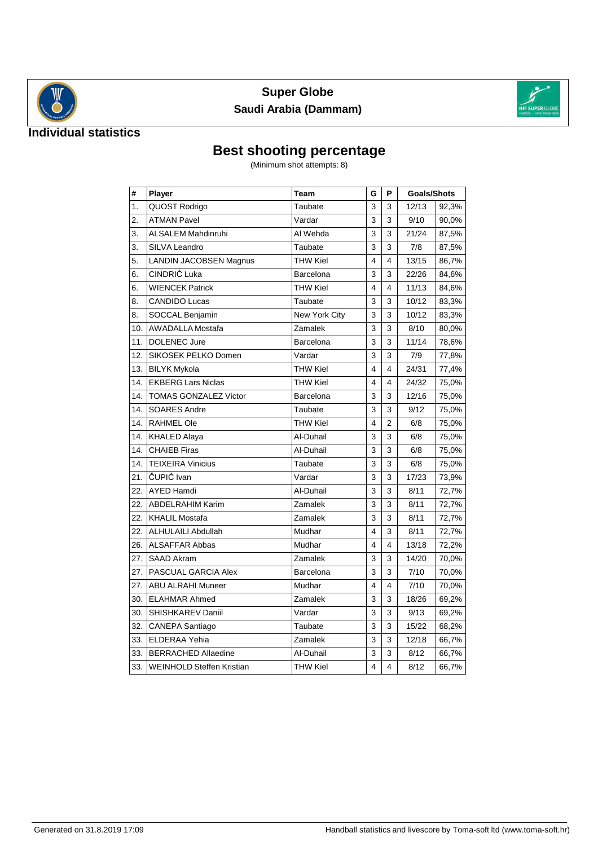



#### **Individual statistics**

# **Best shooting percentage**

(Minimum shot attempts: 8)

| #   | Player                        | Team            | G | P                       | <b>Goals/Shots</b> |       |
|-----|-------------------------------|-----------------|---|-------------------------|--------------------|-------|
| 1.  | QUOST Rodrigo                 | Taubate         | 3 | 3                       | 12/13              | 92,3% |
| 2.  | <b>ATMAN Pavel</b>            | Vardar          | 3 | 3                       | 9/10               | 90,0% |
| 3.  | <b>ALSALEM Mahdinruhi</b>     | Al Wehda        | 3 | 3                       | 21/24              | 87,5% |
| 3.  | SILVA Leandro                 | Taubate         | 3 | 3                       | 7/8                | 87,5% |
| 5.  | <b>LANDIN JACOBSEN Magnus</b> | <b>THW Kiel</b> | 4 | $\overline{\mathbf{4}}$ | 13/15              | 86,7% |
| 6.  | CINDRIĆ Luka                  | Barcelona       | 3 | 3                       | 22/26              | 84,6% |
| 6.  | <b>WIENCEK Patrick</b>        | <b>THW Kiel</b> | 4 | $\overline{\mathbf{4}}$ | 11/13              | 84,6% |
| 8.  | <b>CANDIDO Lucas</b>          | Taubate         | 3 | 3                       | 10/12              | 83,3% |
| 8.  | SOCCAL Benjamin               | New York City   | 3 | 3                       | 10/12              | 83,3% |
| 10. | <b>AWADALLA Mostafa</b>       | Zamalek         | 3 | 3                       | 8/10               | 80,0% |
| 11. | <b>DOLENEC Jure</b>           | Barcelona       | 3 | 3                       | 11/14              | 78,6% |
| 12. | SIKOSEK PELKO Domen           | Vardar          | 3 | 3                       | 7/9                | 77,8% |
| 13. | <b>BILYK Mykola</b>           | <b>THW Kiel</b> | 4 | 4                       | 24/31              | 77,4% |
| 14. | <b>EKBERG Lars Niclas</b>     | <b>THW Kiel</b> | 4 | 4                       | 24/32              | 75,0% |
| 14. | <b>TOMAS GONZALEZ Victor</b>  | Barcelona       | 3 | 3                       | 12/16              | 75,0% |
| 14. | <b>SOARES Andre</b>           | Taubate         | 3 | 3                       | 9/12               | 75,0% |
| 14. | <b>RAHMEL Ole</b>             | <b>THW Kiel</b> | 4 | 2                       | 6/8                | 75,0% |
| 14. | <b>KHALED Alaya</b>           | Al-Duhail       | 3 | 3                       | 6/8                | 75,0% |
| 14. | <b>CHAIEB Firas</b>           | Al-Duhail       | 3 | 3                       | 6/8                | 75,0% |
| 14. | <b>TEIXEIRA Vinicius</b>      | Taubate         | 3 | 3                       | 6/8                | 75,0% |
| 21. | ČUPIĆ Ivan                    | Vardar          | 3 | 3                       | 17/23              | 73,9% |
| 22. | <b>AYED Hamdi</b>             | Al-Duhail       | 3 | 3                       | 8/11               | 72,7% |
| 22. | <b>ABDELRAHIM Karim</b>       | Zamalek         | 3 | 3                       | 8/11               | 72,7% |
| 22. | <b>KHALIL Mostafa</b>         | Zamalek         | 3 | 3                       | 8/11               | 72,7% |
| 22. | <b>ALHULAILI Abdullah</b>     | Mudhar          | 4 | 3                       | 8/11               | 72,7% |
| 26. | <b>ALSAFFAR Abbas</b>         | Mudhar          | 4 | 4                       | 13/18              | 72,2% |
| 27. | <b>SAAD Akram</b>             | Zamalek         | 3 | 3                       | 14/20              | 70,0% |
| 27. | PASCUAL GARCIA Alex           | Barcelona       | 3 | 3                       | 7/10               | 70,0% |
| 27. | <b>ABU ALRAHI Muneer</b>      | Mudhar          | 4 | 4                       | 7/10               | 70,0% |
| 30. | <b>ELAHMAR Ahmed</b>          | Zamalek         | 3 | 3                       | 18/26              | 69,2% |
| 30. | SHISHKAREV Daniil             | Vardar          | 3 | 3                       | 9/13               | 69,2% |
| 32. | CANEPA Santiago               | Taubate         | 3 | 3                       | 15/22              | 68,2% |
| 33. | <b>ELDERAA Yehia</b>          | Zamalek         | 3 | 3                       | 12/18              | 66,7% |
| 33. | <b>BERRACHED Allaedine</b>    | Al-Duhail       | 3 | 3                       | 8/12               | 66,7% |
| 33. | WEINHOLD Steffen Kristian     | <b>THW Kiel</b> | 4 | $\overline{\mathbf{4}}$ | 8/12               | 66,7% |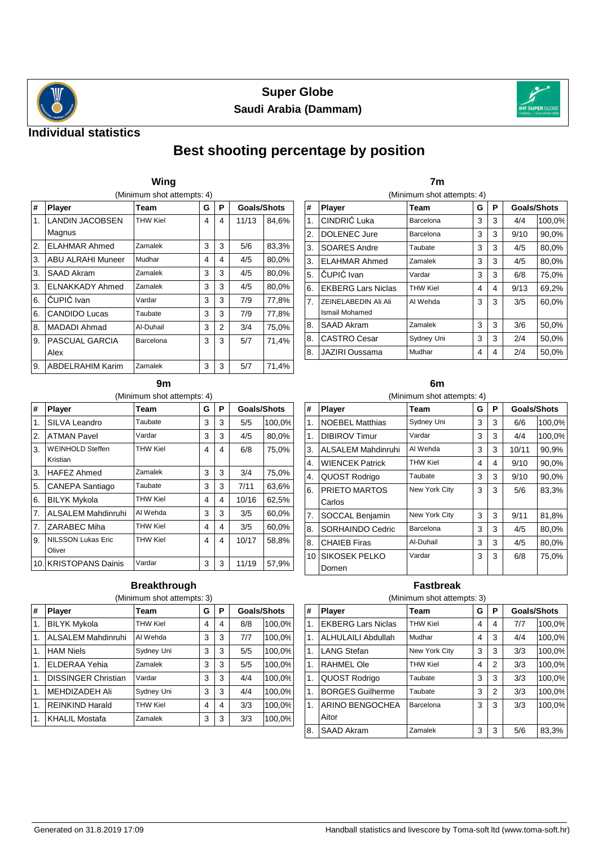



#### **Individual statistics**

## **Best shooting percentage by position**

|    | Wing                       |           |   |   |                    |       |  |  |  |  |  |
|----|----------------------------|-----------|---|---|--------------------|-------|--|--|--|--|--|
|    | (Minimum shot attempts: 4) |           |   |   |                    |       |  |  |  |  |  |
| #  | Player                     | Team      | G | P | <b>Goals/Shots</b> |       |  |  |  |  |  |
| 1. | <b>LANDIN JACOBSEN</b>     | THW Kiel  | 4 | 4 | 11/13              | 84,6% |  |  |  |  |  |
|    | Magnus                     |           |   |   |                    |       |  |  |  |  |  |
| 2. | <b>ELAHMAR Ahmed</b>       | Zamalek   | 3 | 3 | 5/6                | 83,3% |  |  |  |  |  |
| 3. | <b>ABU ALRAHI Muneer</b>   | Mudhar    | 4 | 4 | 4/5                | 80,0% |  |  |  |  |  |
| 3. | SAAD Akram                 | Zamalek   | 3 | 3 | 4/5                | 80,0% |  |  |  |  |  |
| 3. | ELNAKKADY Ahmed            | Zamalek   | 3 | 3 | 4/5                | 80,0% |  |  |  |  |  |
| 6. | ČUPIĆ Ivan                 | Vardar    | 3 | 3 | 7/9                | 77,8% |  |  |  |  |  |
| 6. | <b>CANDIDO Lucas</b>       | Taubate   | 3 | 3 | 7/9                | 77,8% |  |  |  |  |  |
| 8. | <b>MADADI Ahmad</b>        | Al-Duhail | 3 | 2 | 3/4                | 75,0% |  |  |  |  |  |
| 9. | PASCUAL GARCIA             | Barcelona | 3 | 3 | 5/7                | 71,4% |  |  |  |  |  |
|    | Alex                       |           |   |   |                    |       |  |  |  |  |  |
| 9. | <b>ABDELRAHIM Karim</b>    | Zamalek   | 3 | 3 | 5/7                | 71,4% |  |  |  |  |  |

|    | (Minimum shot attempts: 4)             |            |   |   |                    |        |  |  |  |  |
|----|----------------------------------------|------------|---|---|--------------------|--------|--|--|--|--|
| #  | Player                                 | Team       | G | P | <b>Goals/Shots</b> |        |  |  |  |  |
| 1. | CINDRIĆ Luka                           | Barcelona  | 3 | 3 | 4/4                | 100,0% |  |  |  |  |
| 2. | <b>DOLENEC Jure</b>                    | Barcelona  | 3 | 3 | 9/10               | 90,0%  |  |  |  |  |
| 3. | SOARES Andre                           | Taubate    | 3 | 3 | 4/5                | 80,0%  |  |  |  |  |
| 3. | <b>ELAHMAR Ahmed</b>                   | Zamalek    | 3 | 3 | 4/5                | 80,0%  |  |  |  |  |
| 5. | ČUPIĆ Ivan                             | Vardar     | 3 | 3 | 6/8                | 75,0%  |  |  |  |  |
| 6. | <b>EKBERG Lars Niclas</b>              | THW Kiel   | 4 | 4 | 9/13               | 69,2%  |  |  |  |  |
| 7. | ZEINELABEDIN Ali Ali<br>Ismail Mohamed | AI Wehda   | 3 | 3 | 3/5                | 60,0%  |  |  |  |  |
| 8. | SAAD Akram                             | Zamalek    | 3 | 3 | 3/6                | 50,0%  |  |  |  |  |
| 8. | <b>CASTRO Cesar</b>                    | Sydney Uni | 3 | 3 | 2/4                | 50,0%  |  |  |  |  |
| 8. | JAZIRI Oussama                         | Mudhar     | 4 | 4 | 2/4                | 50,0%  |  |  |  |  |

**7m**

#### **9m**

(Minimum shot attempts: 4)

| #               | Player                              | Team            | G | Ρ | <b>Goals/Shots</b> |        |
|-----------------|-------------------------------------|-----------------|---|---|--------------------|--------|
| 1.              | SILVA Leandro                       | Taubate         | 3 | 3 | 5/5                | 100,0% |
| 2.              | <b>ATMAN Pavel</b>                  | Vardar          | 3 | 3 | 4/5                | 80,0%  |
| 3.              | <b>WEINHOLD Steffen</b><br>Kristian | <b>THW Kiel</b> | 4 | 4 | 6/8                | 75,0%  |
| 3.              | <b>HAFEZ Ahmed</b>                  | Zamalek         | 3 | 3 | 3/4                | 75,0%  |
| 5.              | CANEPA Santiago                     | Taubate         | 3 | 3 | 7/11               | 63,6%  |
| 6.              | <b>BILYK Mykola</b>                 | THW Kiel        | 4 | 4 | 10/16              | 62,5%  |
| 7.              | <b>ALSALEM Mahdinruhi</b>           | Al Wehda        | 3 | 3 | 3/5                | 60,0%  |
| 7.              | <b>ZARABEC Miha</b>                 | THW Kiel        | 4 | 4 | 3/5                | 60,0%  |
| 9.              | <b>NILSSON Lukas Eric</b><br>Oliver | <b>THW Kiel</b> | 4 | 4 | 10/17              | 58,8%  |
| 10 <sub>1</sub> | <b>KRISTOPANS Dainis</b>            | Vardar          | 3 | 3 | 11/19              | 57,9%  |

#### **Breakthrough** (Minimum shot attempts: 3)

| $\overline{\boldsymbol{t}}$ | Player                     | Team            | G | Р | <b>Goals/Shots</b> |        |
|-----------------------------|----------------------------|-----------------|---|---|--------------------|--------|
| l 1.                        | <b>BILYK Mykola</b>        | <b>THW Kiel</b> | 4 | 4 | 8/8                | 100,0% |
| l 1.                        | <b>ALSALEM Mahdinruhi</b>  | Al Wehda        | 3 | 3 | 7/7                | 100,0% |
| 1.                          | <b>HAM Niels</b>           | Sydney Uni      | 3 | 3 | 5/5                | 100,0% |
| l 1.                        | <b>ELDERAA Yehia</b>       | Zamalek         | 3 | 3 | 5/5                | 100,0% |
| l1.                         | <b>DISSINGER Christian</b> | Vardar          | 3 | 3 | 4/4                | 100,0% |
| l1.                         | MEHDIZADEH Ali             | Sydney Uni      | 3 | 3 | 4/4                | 100,0% |
| $\overline{1}$ .            | <b>REINKIND Harald</b>     | THW Kiel        | 4 | 4 | 3/3                | 100,0% |
| l 1.                        | <b>KHALIL Mostafa</b>      | Zamalek         | 3 | 3 | 3/3                | 100,0% |

#### **6m** (Minimum shot attempts: 4)

| #                | Player                 | Team          | G | P | <b>Goals/Shots</b> |        |  |  |  |  |  |
|------------------|------------------------|---------------|---|---|--------------------|--------|--|--|--|--|--|
| 1.               | <b>NOEBEL Matthias</b> | Sydney Uni    | 3 | 3 | 6/6                | 100,0% |  |  |  |  |  |
| 1.               | <b>DIBIROV Timur</b>   | Vardar        | 3 | 3 | 4/4                | 100,0% |  |  |  |  |  |
| 3.               | ALSALEM Mahdinruhi     | Al Wehda      | 3 | 3 | 10/11              | 90,9%  |  |  |  |  |  |
| 4.               | <b>WIENCEK Patrick</b> | THW Kiel      | 4 | 4 | 9/10               | 90,0%  |  |  |  |  |  |
| 4.               | QUOST Rodrigo          | Taubate       | 3 | 3 | 9/10               | 90,0%  |  |  |  |  |  |
| 6.               | PRIETO MARTOS          | New York City | 3 | 3 | 5/6                | 83,3%  |  |  |  |  |  |
|                  | Carlos                 |               |   |   |                    |        |  |  |  |  |  |
| $\overline{7}$ . | SOCCAL Benjamin        | New York City | 3 | 3 | 9/11               | 81,8%  |  |  |  |  |  |
| 8.               | SORHAINDO Cedric       | Barcelona     | 3 | 3 | 4/5                | 80,0%  |  |  |  |  |  |
| 8.               | <b>CHAIEB Firas</b>    | Al-Duhail     | 3 | 3 | 4/5                | 80,0%  |  |  |  |  |  |
| 10 <sub>1</sub>  | SIKOSEK PELKO          | Vardar        | 3 | 3 | 6/8                | 75.0%  |  |  |  |  |  |
|                  | Domen                  |               |   |   |                    |        |  |  |  |  |  |

#### **Fastbreak**

|    | (Minimum shot attempts: 3) |                 |   |   |             |        |  |  |  |  |  |
|----|----------------------------|-----------------|---|---|-------------|--------|--|--|--|--|--|
| #  | Player                     | Team            | G | P | Goals/Shots |        |  |  |  |  |  |
| 1. | <b>EKBERG Lars Niclas</b>  | <b>THW Kiel</b> | 4 | 4 | 7/7         | 100,0% |  |  |  |  |  |
| 1. | <b>ALHULAILI Abdullah</b>  | Mudhar          | 4 | 3 | 4/4         | 100,0% |  |  |  |  |  |
| 1. | <b>LANG Stefan</b>         | New York City   | 3 | 3 | 3/3         | 100,0% |  |  |  |  |  |
| 1. | <b>RAHMEL Ole</b>          | <b>THW Kiel</b> | 4 | 2 | 3/3         | 100,0% |  |  |  |  |  |
| 1. | QUOST Rodrigo              | Taubate         | 3 | 3 | 3/3         | 100,0% |  |  |  |  |  |
| 1. | <b>BORGES Guilherme</b>    | Taubate         | 3 | 2 | 3/3         | 100.0% |  |  |  |  |  |
| 1. | ARINO BENGOCHEA            | Barcelona       | 3 | 3 | 3/3         | 100.0% |  |  |  |  |  |
|    | Aitor                      |                 |   |   |             |        |  |  |  |  |  |
| 8. | <b>SAAD Akram</b>          | Zamalek         | 3 | 3 | 5/6         | 83,3%  |  |  |  |  |  |

| Generated on 31.8.2019 17:09 |  |  |  |
|------------------------------|--|--|--|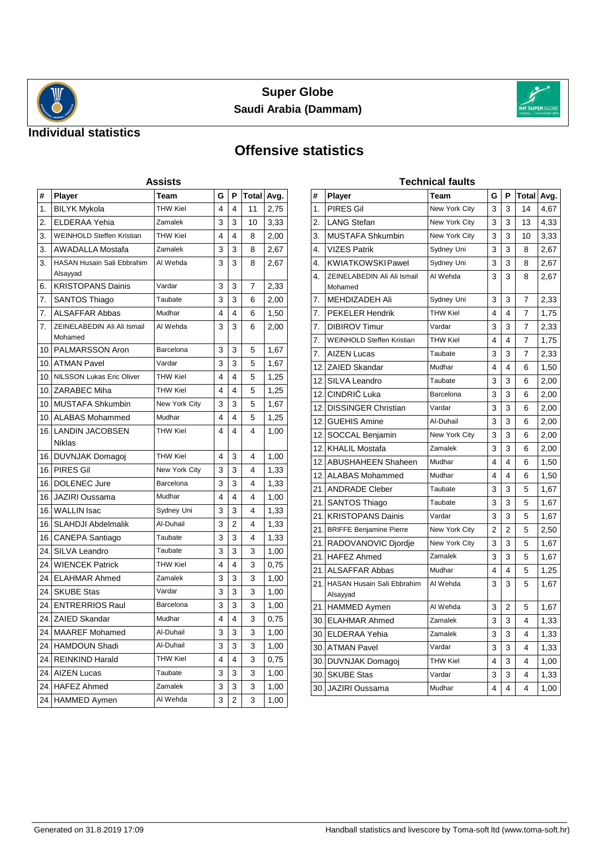



### **Individual statistics**

# **Offensive statistics**

| Assists         |                                               |                 |   |   |       |      |  |  |  |  |
|-----------------|-----------------------------------------------|-----------------|---|---|-------|------|--|--|--|--|
| #               | Player                                        | Team            | G | P | Total | Avg. |  |  |  |  |
| 1.              | <b>BILYK Mykola</b>                           | <b>THW Kiel</b> | 4 | 4 | 11    | 2,75 |  |  |  |  |
| 2.              | <b>ELDERAA Yehia</b>                          | Zamalek         | 3 | 3 | 10    | 3,33 |  |  |  |  |
| 3.              | <b>WEINHOLD Steffen Kristian</b>              | <b>THW Kiel</b> | 4 | 4 | 8     | 2,00 |  |  |  |  |
| 3.              | <b>AWADALLA Mostafa</b>                       | Zamalek         | 3 | 3 | 8     | 2,67 |  |  |  |  |
| 3.              | <b>HASAN Husain Sali Ebbrahim</b><br>Alsayyad | Al Wehda        | 3 | 3 | 8     | 2,67 |  |  |  |  |
| 6.              | <b>KRISTOPANS Dainis</b>                      | Vardar          | 3 | 3 | 7     | 2,33 |  |  |  |  |
| 7.              | SANTOS Thiago                                 | Taubate         | 3 | 3 | 6     | 2,00 |  |  |  |  |
| 7.              | <b>ALSAFFAR Abbas</b>                         | Mudhar          | 4 | 4 | 6     | 1,50 |  |  |  |  |
| 7.              | ZEINELABEDIN Ali Ali Ismail<br>Mohamed        | Al Wehda        | 3 | 3 | 6     | 2,00 |  |  |  |  |
|                 | 10 IPALMARSSON Aron                           | Barcelona       | 3 | 3 | 5     | 1,67 |  |  |  |  |
| 10.             | <b>ATMAN Pavel</b>                            | Vardar          | 3 | 3 | 5     | 1,67 |  |  |  |  |
| 10 <sub>1</sub> | NILSSON Lukas Eric Oliver                     | <b>THW Kiel</b> | 4 | 4 | 5     | 1,25 |  |  |  |  |
| 10.             | <b>ZARABEC Miha</b>                           | <b>THW Kiel</b> | 4 | 4 | 5     | 1,25 |  |  |  |  |
|                 | 10 IMUSTAFA Shkumbin                          | New York City   | 3 | 3 | 5     | 1,67 |  |  |  |  |
|                 | 10 ALABAS Mohammed                            | Mudhar          | 4 | 4 | 5     | 1,25 |  |  |  |  |
|                 | 16 ILANDIN JACOBSEN                           | <b>THW Kiel</b> | 4 | 4 | 4     | 1,00 |  |  |  |  |
|                 | Niklas                                        |                 |   |   |       |      |  |  |  |  |
|                 | 16. DUVNJAK Domagoj                           | <b>THW Kiel</b> | 4 | 3 | 4     | 1,00 |  |  |  |  |
|                 | 16. PIRES Gil                                 | New York City   | 3 | 3 | 4     | 1,33 |  |  |  |  |
| 16.             | DOLENEC Jure                                  | Barcelona       | 3 | 3 | 4     | 1,33 |  |  |  |  |
| 16.             | JAZIRI Oussama                                | Mudhar          | 4 | 4 | 4     | 1,00 |  |  |  |  |
| 16.             | <b>WALLIN</b> Isac                            | Sydney Uni      | 3 | 3 | 4     | 1,33 |  |  |  |  |
| 16.             | <b>SLAHDJI Abdelmalik</b>                     | Al-Duhail       | 3 | 2 | 4     | 1,33 |  |  |  |  |
| 16.             | CANEPA Santiago                               | Taubate         | 3 | 3 | 4     | 1,33 |  |  |  |  |
| 24.             | SILVA Leandro                                 | Taubate         | 3 | 3 | 3     | 1,00 |  |  |  |  |
| 24.             | <b>WIENCEK Patrick</b>                        | <b>THW Kiel</b> | 4 | 4 | 3     | 0,75 |  |  |  |  |
| 24.I            | <b>ELAHMAR Ahmed</b>                          | Zamalek         | 3 | 3 | 3     | 1,00 |  |  |  |  |
| 24.             | <b>SKUBE Stas</b>                             | Vardar          | 3 | 3 | 3     | 1,00 |  |  |  |  |
| 24.             | <b>ENTRERRIOS Raul</b>                        | Barcelona       | 3 | 3 | 3     | 1,00 |  |  |  |  |
| 24.             | <b>ZAIED Skandar</b>                          | Mudhar          | 4 | 4 | 3     | 0,75 |  |  |  |  |
|                 | 24. MAAREF Mohamed                            | Al-Duhail       | 3 | 3 | 3     | 1,00 |  |  |  |  |
| 24.             | HAMDOUN Shadi                                 | Al-Duhail       | 3 | 3 | 3     | 1,00 |  |  |  |  |
| 24.             | <b>REINKIND Harald</b>                        | <b>THW Kiel</b> | 4 | 4 | 3     | 0,75 |  |  |  |  |
| 24.             | <b>AIZEN Lucas</b>                            | Taubate         | 3 | 3 | 3     | 1,00 |  |  |  |  |
| 24.             | <b>HAFEZ Ahmed</b>                            | Zamalek         | 3 | 3 | 3     | 1,00 |  |  |  |  |
| 24.             | <b>HAMMED Aymen</b>                           | Al Wehda        | 3 | 2 | 3     | 1,00 |  |  |  |  |

| Technical faults |                                               |                      |   |                |       |      |  |  |  |  |
|------------------|-----------------------------------------------|----------------------|---|----------------|-------|------|--|--|--|--|
| #                | <b>Player</b>                                 | Team                 | G | Ρ              | Total | Avg. |  |  |  |  |
| 1.               | <b>PIRES Gil</b>                              | <b>New York City</b> | 3 | 3              | 14    | 4,67 |  |  |  |  |
| 2.               | <b>LANG Stefan</b>                            | New York City        | 3 | 3              | 13    | 4,33 |  |  |  |  |
| 3.               | <b>MUSTAFA Shkumbin</b>                       | New York City        | 3 | 3              | 10    | 3,33 |  |  |  |  |
| 4.               | <b>VIZES Patrik</b>                           | Sydney Uni           | 3 | 3              | 8     | 2,67 |  |  |  |  |
| 4.               | <b>KWIATKOWSKI Pawel</b>                      | Sydney Uni           | 3 | 3              | 8     | 2,67 |  |  |  |  |
| 4.               | ZEINELABEDIN Ali Ali Ismail<br>Mohamed        | Al Wehda             | 3 | 3              | 8     | 2,67 |  |  |  |  |
| 7.               | <b>MEHDIZADEH Ali</b>                         | Sydney Uni           | 3 | 3              | 7     | 2,33 |  |  |  |  |
| 7.               | <b>PEKELER Hendrik</b>                        | <b>THW Kiel</b>      | 4 | 4              | 7     | 1,75 |  |  |  |  |
| 7.               | <b>DIBIROV Timur</b>                          | Vardar               | 3 | 3              | 7     | 2,33 |  |  |  |  |
| 7.               | <b>WEINHOLD Steffen Kristian</b>              | <b>THW Kiel</b>      | 4 | 4              | 7     | 1,75 |  |  |  |  |
| 7.               | <b>AIZEN Lucas</b>                            | Taubate              | 3 | 3              | 7     | 2,33 |  |  |  |  |
| 12.              | ZAIED Skandar                                 | Mudhar               | 4 | 4              | 6     | 1,50 |  |  |  |  |
| 12.              | SILVA Leandro                                 | Taubate              | 3 | 3              | 6     | 2,00 |  |  |  |  |
| 12.              | CINDRIĆ Luka                                  | Barcelona            | 3 | 3              | 6     | 2,00 |  |  |  |  |
| 12.              | <b>DISSINGER Christian</b>                    | Vardar               | 3 | 3              | 6     | 2,00 |  |  |  |  |
| 12.              | <b>GUEHIS Amine</b>                           | Al-Duhail            | 3 | 3              | 6     | 2,00 |  |  |  |  |
| 12.              | SOCCAL Benjamin                               | <b>New York City</b> | 3 | 3              | 6     | 2,00 |  |  |  |  |
| 12.              | <b>KHALIL Mostafa</b>                         | Zamalek              | 3 | 3              | 6     | 2,00 |  |  |  |  |
| 12.              | <b>ABUSHAHEEN Shaheen</b>                     | Mudhar               | 4 | 4              | 6     | 1,50 |  |  |  |  |
| 12.              | <b>ALABAS Mohammed</b>                        | Mudhar               | 4 | 4              | 6     | 1,50 |  |  |  |  |
| 21.              | <b>ANDRADE Cleber</b>                         | Taubate              | 3 | 3              | 5     | 1,67 |  |  |  |  |
| 21.              | <b>SANTOS Thiago</b>                          | Taubate              | 3 | 3              | 5     | 1,67 |  |  |  |  |
| 21.              | <b>KRISTOPANS Dainis</b>                      | Vardar               | 3 | 3              | 5     | 1,67 |  |  |  |  |
| 21.              | <b>BRIFFE Benjamine Pierre</b>                | New York City        | 2 | $\overline{2}$ | 5     | 2,50 |  |  |  |  |
| 21.              | RADOVANOVIC Djordje                           | New York City        | 3 | 3              | 5     | 1,67 |  |  |  |  |
| 21.              | <b>HAFEZ Ahmed</b>                            | Zamalek              | 3 | 3              | 5     | 1,67 |  |  |  |  |
| 21.              | <b>ALSAFFAR Abbas</b>                         | Mudhar               | 4 | 4              | 5     | 1,25 |  |  |  |  |
| 21.              | <b>HASAN Husain Sali Ebbrahim</b><br>Alsayyad | Al Wehda             | 3 | 3              | 5     | 1,67 |  |  |  |  |
| 21.              | <b>HAMMED Aymen</b>                           | Al Wehda             | 3 | 2              | 5     | 1,67 |  |  |  |  |
| 30.              | <b>ELAHMAR Ahmed</b>                          | Zamalek              | 3 | 3              | 4     | 1,33 |  |  |  |  |
| 30.              | <b>ELDERAA Yehia</b>                          | Zamalek              | 3 | 3              | 4     | 1,33 |  |  |  |  |
| 30.              | <b>ATMAN Pavel</b>                            | Vardar               | 3 | 3              | 4     | 1,33 |  |  |  |  |
| 30.              | DUVNJAK Domagoj                               | <b>THW Kiel</b>      | 4 | 3              | 4     | 1,00 |  |  |  |  |
| 30.              | <b>SKUBE Stas</b>                             | Vardar               | 3 | 3              | 4     | 1,33 |  |  |  |  |
| 30.              | JAZIRI Oussama                                | Mudhar               | 4 | 4              | 4     | 1,00 |  |  |  |  |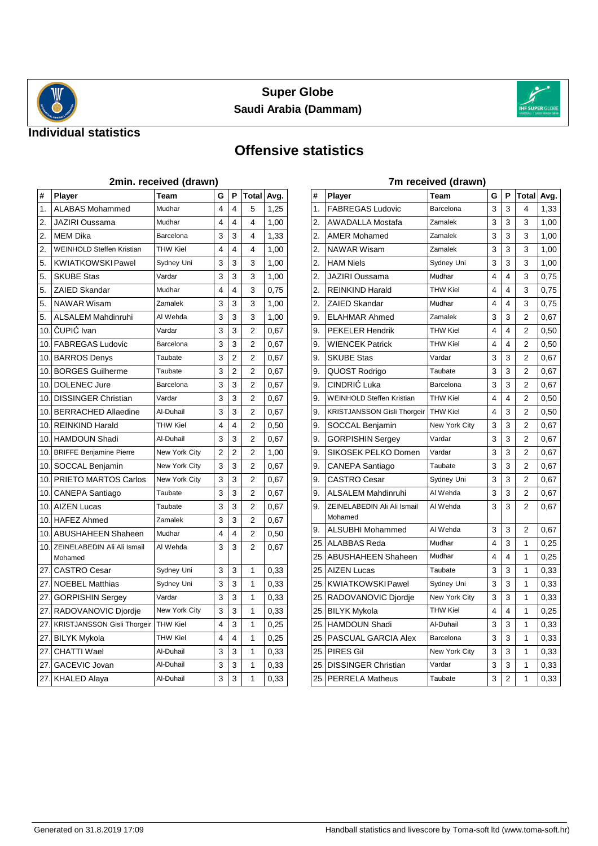



#### **Individual statistics**

# **Offensive statistics**

|                 | 2min. received (drawn)                 |                 |   |                |                |      |  |  |  |  |
|-----------------|----------------------------------------|-----------------|---|----------------|----------------|------|--|--|--|--|
| #               | <b>Player</b>                          | Team            | G | P              | Total          | Avg. |  |  |  |  |
| 1.              | <b>ALABAS Mohammed</b>                 | Mudhar          | 4 | 4              | 5              | 1.25 |  |  |  |  |
| 2.              | <b>JAZIRI Oussama</b>                  | Mudhar          | 4 | 4              | 4              | 1,00 |  |  |  |  |
| 2.              | <b>MEM Dika</b>                        | Barcelona       | 3 | 3              | 4              | 1,33 |  |  |  |  |
| 2.              | <b>WEINHOLD Steffen Kristian</b>       | <b>THW Kiel</b> | 4 | 4              | 4              | 1,00 |  |  |  |  |
| 5.              | <b>KWIATKOWSKI Pawel</b>               | Sydney Uni      | 3 | 3              | 3              | 1,00 |  |  |  |  |
| 5.              | <b>SKUBE Stas</b>                      | Vardar          | 3 | 3              | 3              | 1,00 |  |  |  |  |
| 5.              | <b>ZAIED Skandar</b>                   | Mudhar          | 4 | 4              | 3              | 0,75 |  |  |  |  |
| 5.              | <b>NAWAR Wisam</b>                     | Zamalek         | 3 | 3              | 3              | 1,00 |  |  |  |  |
| 5.              | <b>ALSALEM Mahdinruhi</b>              | Al Wehda        | 3 | 3              | 3              | 1,00 |  |  |  |  |
| 10 <sub>1</sub> | ČUPIĆ Ivan                             | Vardar          | 3 | 3              | 2              | 0,67 |  |  |  |  |
| 10 <sub>1</sub> | <b>FABREGAS Ludovic</b>                | Barcelona       | 3 | 3              | 2              | 0,67 |  |  |  |  |
| 10.             | <b>BARROS Denys</b>                    | Taubate         | 3 | 2              | 2              | 0,67 |  |  |  |  |
| 10.             | <b>BORGES Guilherme</b>                | Taubate         | 3 | 2              | 2              | 0,67 |  |  |  |  |
| 10 <sub>1</sub> | <b>DOLENEC Jure</b>                    | Barcelona       | 3 | 3              | 2              | 0,67 |  |  |  |  |
| 10.             | <b>DISSINGER Christian</b>             | Vardar          | 3 | 3              | 2              | 0,67 |  |  |  |  |
| 10.             | <b>BERRACHED Allaedine</b>             | Al-Duhail       | 3 | 3              | 2              | 0,67 |  |  |  |  |
| 10 <sub>1</sub> | <b>REINKIND Harald</b>                 | THW Kiel        | 4 | 4              | 2              | 0,50 |  |  |  |  |
| 10 <sub>1</sub> | <b>HAMDOUN Shadi</b>                   | Al-Duhail       | 3 | 3              | $\overline{2}$ | 0,67 |  |  |  |  |
| 10.             | <b>BRIFFE Benjamine Pierre</b>         | New York City   | 2 | $\overline{c}$ | 2              | 1,00 |  |  |  |  |
| 10.             | SOCCAL Benjamin                        | New York City   | 3 | 3              | 2              | 0,67 |  |  |  |  |
| 10 <sub>1</sub> | PRIETO MARTOS Carlos                   | New York City   | 3 | 3              | 2              | 0,67 |  |  |  |  |
| 10.             | <b>CANEPA Santiago</b>                 | Taubate         | 3 | 3              | 2              | 0,67 |  |  |  |  |
| 10 <sub>1</sub> | <b>AIZEN Lucas</b>                     | Taubate         | 3 | 3              | 2              | 0,67 |  |  |  |  |
| 10 <sub>1</sub> | <b>HAFEZ Ahmed</b>                     | Zamalek         | 3 | 3              | 2              | 0,67 |  |  |  |  |
| 10.             | <b>ABUSHAHEEN Shaheen</b>              | Mudhar          | 4 | 4              | 2              | 0,50 |  |  |  |  |
| 10.             | ZEINELABEDIN Ali Ali Ismail<br>Mohamed | Al Wehda        | 3 | 3              | 2              | 0,67 |  |  |  |  |
| 27.             | <b>CASTRO Cesar</b>                    | Sydney Uni      | 3 | 3              | 1              | 0,33 |  |  |  |  |
| 27.             | <b>NOEBEL Matthias</b>                 | Sydney Uni      | 3 | 3              | 1              | 0,33 |  |  |  |  |
| 27.             | <b>GORPISHIN Sergey</b>                | Vardar          | 3 | 3              | 1              | 0,33 |  |  |  |  |
| 27.             | RADOVANOVIC Djordje                    | New York City   | 3 | 3              | 1              | 0,33 |  |  |  |  |
| 27.             | <b>KRISTJANSSON Gisli Thorgeir</b>     | <b>THW Kiel</b> | 4 | 3              | 1              | 0,25 |  |  |  |  |
| 27.             | <b>BILYK Mykola</b>                    | THW Kiel        | 4 | 4              | 1              | 0,25 |  |  |  |  |
| 27.             | <b>CHATTI Wael</b>                     | Al-Duhail       | 3 | 3              | 1              | 0,33 |  |  |  |  |
| 27.             | GACEVIC Jovan                          | Al-Duhail       | 3 | 3              | 1              | 0,33 |  |  |  |  |
| 27.             | <b>KHALED Alaya</b>                    | Al-Duhail       | 3 | 3              | 1              | 0,33 |  |  |  |  |

|                  |                                    | $\mu$ n received (drawn) |   |                |            |      |
|------------------|------------------------------------|--------------------------|---|----------------|------------|------|
| #                | Player                             | Team                     | G | P              | Total Avg. |      |
| 1.               | <b>FABREGAS Ludovic</b>            | Barcelona                | 3 | 3              | 4          | 1,33 |
| 2.               | <b>AWADALLA Mostafa</b>            | Zamalek                  | 3 | 3              | 3          | 1,00 |
| 2.               | <b>AMER Mohamed</b>                | Zamalek                  | 3 | 3              | 3          | 1,00 |
| 2.               | <b>NAWAR Wisam</b>                 | Zamalek                  | 3 | 3              | 3          | 1,00 |
| 2.               | <b>HAM Niels</b>                   | Sydney Uni               | 3 | 3              | 3          | 1,00 |
| $\overline{2}$ . | JAZIRI Oussama                     | Mudhar                   | 4 | 4              | 3          | 0.75 |
| 2.               | <b>REINKIND Harald</b>             | <b>THW Kiel</b>          | 4 | 4              | 3          | 0,75 |
| 2.               | ZAIED Skandar                      | Mudhar                   | 4 | 4              | 3          | 0,75 |
| 9.               | <b>ELAHMAR Ahmed</b>               | Zamalek                  | 3 | 3              | 2          | 0,67 |
| 9.               | <b>PEKELER Hendrik</b>             | <b>THW Kiel</b>          | 4 | 4              | 2          | 0,50 |
| 9.               | <b>WIENCEK Patrick</b>             | <b>THW Kiel</b>          | 4 | 4              | 2          | 0,50 |
| 9.               | <b>SKUBE Stas</b>                  | Vardar                   | 3 | 3              | 2          | 0,67 |
| 9.               | QUOST Rodrigo                      | Taubate                  | 3 | 3              | 2          | 0,67 |
| 9.               | CINDRIĆ Luka                       | Barcelona                | 3 | 3              | 2          | 0,67 |
| 9.               | <b>WEINHOLD Steffen Kristian</b>   | <b>THW Kiel</b>          | 4 | 4              | 2          | 0,50 |
| 9.               | <b>KRISTJANSSON Gisli Thorgeir</b> | <b>THW Kiel</b>          | 4 | 3              | 2          | 0,50 |
| 9.               | SOCCAL Benjamin                    | New York City            | 3 | 3              | 2          | 0,67 |
| 9.               | <b>GORPISHIN Sergey</b>            | Vardar                   | 3 | 3              | 2          | 0,67 |
| 9.               | SIKOSEK PELKO Domen                | Vardar                   | 3 | 3              | 2          | 0,67 |
| 9.               | <b>CANEPA Santiago</b>             | Taubate                  | 3 | 3              | 2          | 0,67 |
| 9.               | <b>CASTRO Cesar</b>                | Sydney Uni               | 3 | 3              | 2          | 0,67 |
| 9.               | <b>ALSALEM Mahdinruhi</b>          | Al Wehda                 | 3 | 3              | 2          | 0,67 |
| 9.               | ZEINELABEDIN Ali Ali Ismail        | Al Wehda                 | 3 | 3              | 2          | 0,67 |
|                  | Mohamed                            |                          |   |                |            |      |
| 9.               | ALSUBHI Mohammed                   | Al Wehda                 | 3 | 3              | 2          | 0,67 |
| 25.              | <b>ALABBAS Reda</b>                | Mudhar                   | 4 | 3              | 1          | 0,25 |
| 25.              | <b>ABUSHAHEEN Shaheen</b>          | Mudhar                   | 4 | 4              | 1          | 0,25 |
| 25.              | <b>AIZEN Lucas</b>                 | Taubate                  | 3 | 3              | 1          | 0,33 |
| 25.              | <b>KWIATKOWSKI Pawel</b>           | Sydney Uni               | 3 | 3              | 1          | 0,33 |
| 25.              | RADOVANOVIC Djordje                | New York City            | 3 | 3              | 1          | 0,33 |
| 25.              | <b>BILYK Mykola</b>                | <b>THW Kiel</b>          | 4 | 4              | 1          | 0,25 |
| 25.              | HAMDOUN Shadi                      | Al-Duhail                | 3 | 3              | 1          | 0,33 |
| 25.              | PASCUAL GARCIA Alex                | Barcelona                | 3 | 3              | 1          | 0,33 |
| 25.              | <b>PIRES Gil</b>                   | New York City            | 3 | 3              | 1          | 0,33 |
| 25.              | <b>DISSINGER Christian</b>         | Vardar                   | 3 | 3              | 1          | 0,33 |
|                  | 25. PERRELA Matheus                | Taubate                  | 3 | $\overline{c}$ | 1          | 0,33 |

#### **7m received (drawn)**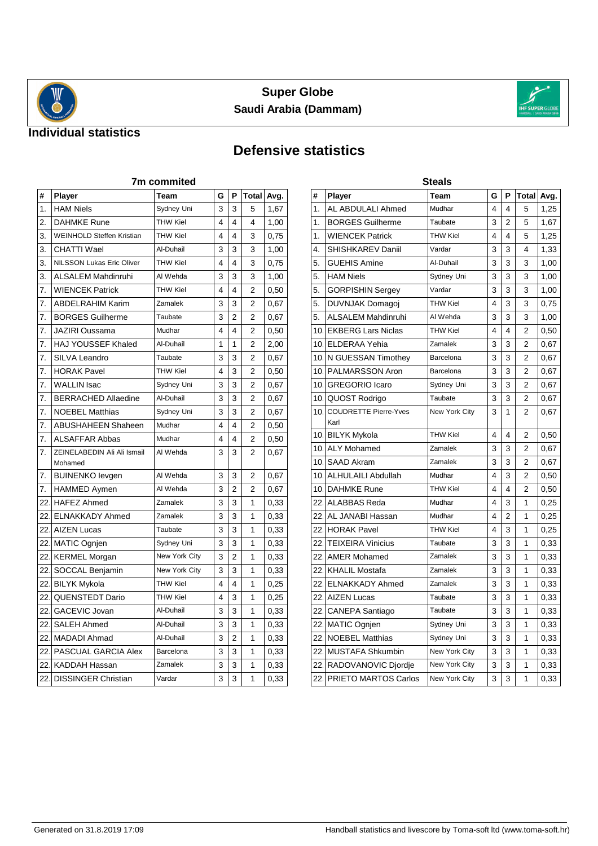



### **Individual statistics**

# **Defensive statistics**

| 7m commited |                                        |                 |   |                |                |      |
|-------------|----------------------------------------|-----------------|---|----------------|----------------|------|
| #           | Player                                 | Team            | G | P              | Total          | Avg. |
| 1.          | <b>HAM Niels</b>                       | Sydney Uni      | 3 | 3              | 5              | 1,67 |
| 2.          | <b>DAHMKE Rune</b>                     | <b>THW Kiel</b> | 4 | 4              | 4              | 1,00 |
| 3.          | <b>WEINHOLD Steffen Kristian</b>       | <b>THW Kiel</b> | 4 | 4              | 3              | 0,75 |
| 3.          | CHATTI Wael                            | Al-Duhail       | 3 | 3              | 3              | 1,00 |
| 3.          | <b>NILSSON Lukas Eric Oliver</b>       | <b>THW Kiel</b> | 4 | 4              | 3              | 0,75 |
| 3.          | <b>ALSALEM Mahdinruhi</b>              | Al Wehda        | 3 | 3              | 3              | 1,00 |
| 7.          | <b>WIENCEK Patrick</b>                 | <b>THW Kiel</b> | 4 | 4              | 2              | 0,50 |
| 7.          | <b>ABDELRAHIM Karim</b>                | Zamalek         | 3 | 3              | 2              | 0,67 |
| 7.          | <b>BORGES Guilherme</b>                | Taubate         | 3 | $\overline{2}$ | 2              | 0,67 |
| 7.          | <b>JAZIRI Oussama</b>                  | Mudhar          | 4 | 4              | $\overline{2}$ | 0,50 |
| 7.          | <b>HAJ YOUSSEF Khaled</b>              | Al-Duhail       | 1 | 1              | $\overline{2}$ | 2,00 |
| 7.          | SILVA Leandro                          | Taubate         | 3 | 3              | 2              | 0,67 |
| 7.          | <b>HORAK Pavel</b>                     | <b>THW Kiel</b> | 4 | 3              | $\overline{2}$ | 0,50 |
| 7.          | <b>WALLIN Isac</b>                     | Sydney Uni      | 3 | 3              | 2              | 0,67 |
| 7.          | <b>BERRACHED Allaedine</b>             | Al-Duhail       | 3 | 3              | 2              | 0,67 |
| 7.          | <b>NOEBEL Matthias</b>                 | Sydney Uni      | 3 | 3              | 2              | 0,67 |
| 7.          | <b>ABUSHAHEEN Shaheen</b>              | Mudhar          | 4 | 4              | $\overline{2}$ | 0,50 |
| 7.          | <b>ALSAFFAR Abbas</b>                  | Mudhar          | 4 | 4              | 2              | 0,50 |
| 7.          | ZEINELABEDIN Ali Ali Ismail<br>Mohamed | Al Wehda        | 3 | 3              | 2              | 0,67 |
| 7.          | <b>BUINENKO levgen</b>                 | Al Wehda        | 3 | 3              | 2              | 0,67 |
| 7.          | <b>HAMMED Aymen</b>                    | Al Wehda        | 3 | $\overline{2}$ | $\mathfrak{p}$ | 0,67 |
| 22.         | <b>HAFEZ Ahmed</b>                     | Zamalek         | 3 | 3              | 1              | 0,33 |
| 22.         | <b>ELNAKKADY Ahmed</b>                 | Zamalek         | 3 | 3              | 1              | 0,33 |
| 22.         | <b>AIZEN Lucas</b>                     | Taubate         | 3 | 3              | 1              | 0,33 |
| 22.         | MATIC Ognjen                           | Sydney Uni      | 3 | 3              | 1              | 0,33 |
| 22.         | <b>KERMEL Morgan</b>                   | New York City   | 3 | 2              | 1              | 0,33 |
| 22.         | SOCCAL Benjamin                        | New York City   | 3 | 3              | 1              | 0,33 |
| 22.         | <b>BILYK Mykola</b>                    | <b>THW Kiel</b> | 4 | 4              | 1              | 0,25 |
| 22.         | <b>QUENSTEDT Dario</b>                 | THW Kiel        | 4 | 3              | 1              | 0,25 |
| 22.         | GACEVIC Jovan                          | Al-Duhail       | 3 | 3              | 1              | 0,33 |
| 22.         | <b>SALEH Ahmed</b>                     | Al-Duhail       | 3 | 3              | 1              | 0,33 |
| 22.         | MADADI Ahmad                           | Al-Duhail       | 3 | 2              | 1              | 0,33 |
| 22.         | <b>PASCUAL GARCIA Alex</b>             | Barcelona       | 3 | 3              | 1              | 0,33 |
| 22.         | KADDAH Hassan                          | Zamalek         | 3 | 3              | 1              | 0,33 |
| 22.         | <b>DISSINGER Christian</b>             | Vardar          | 3 | 3              | 1              | 0,33 |

|                 | Steals                               |                 |   |                |                         |      |  |  |
|-----------------|--------------------------------------|-----------------|---|----------------|-------------------------|------|--|--|
| #               | Player                               | Team            | G | P              | Total                   | Avg. |  |  |
| 1.              | AL ABDULALI Ahmed                    | Mudhar          | 4 | 4              | 5                       | 1,25 |  |  |
| 1.              | <b>BORGES Guilherme</b>              | Taubate         | 3 | $\overline{2}$ | 5                       | 1,67 |  |  |
| 1.              | <b>WIENCEK Patrick</b>               | <b>THW Kiel</b> | 4 | 4              | 5                       | 1,25 |  |  |
| 4.              | SHISHKAREV Daniil                    | Vardar          | 3 | 3              | 4                       | 1,33 |  |  |
| 5.              | <b>GUEHIS Amine</b>                  | Al-Duhail       | 3 | 3              | 3                       | 1,00 |  |  |
| 5.              | <b>HAM Niels</b>                     | Sydney Uni      | 3 | 3              | 3                       | 1,00 |  |  |
| 5.              | <b>GORPISHIN Sergey</b>              | Vardar          | 3 | 3              | 3                       | 1,00 |  |  |
| 5.              | DUVNJAK Domagoj                      | <b>THW Kiel</b> | 4 | 3              | 3                       | 0,75 |  |  |
| 5.              | <b>ALSALEM Mahdinruhi</b>            | Al Wehda        | 3 | 3              | 3                       | 1,00 |  |  |
| 10.             | <b>EKBERG Lars Niclas</b>            | <b>THW Kiel</b> | 4 | 4              | 2                       | 0,50 |  |  |
| 10.             | <b>ELDERAA Yehia</b>                 | Zamalek         | 3 | 3              | 2                       | 0,67 |  |  |
| 10 <sub>1</sub> | N GUESSAN Timothey                   | Barcelona       | 3 | 3              | 2                       | 0,67 |  |  |
| 10 <sub>1</sub> | PALMARSSON Aron                      | Barcelona       | 3 | 3              | $\overline{\mathbf{c}}$ | 0,67 |  |  |
| 10 <sub>1</sub> | <b>GREGORIO Icaro</b>                | Sydney Uni      | 3 | 3              | 2                       | 0.67 |  |  |
| 10.             | QUOST Rodrigo                        | Taubate         | 3 | 3              | 2                       | 0,67 |  |  |
| 10.             | <b>COUDRETTE Pierre-Yves</b><br>Karl | New York City   | 3 | 1              | 2                       | 0,67 |  |  |
|                 | 10 BILYK Mykola                      | <b>THW Kiel</b> | 4 | 4              | 2                       | 0,50 |  |  |
|                 | 10. ALY Mohamed                      | Zamalek         | 3 | 3              | 2                       | 0,67 |  |  |
| 10.             | <b>SAAD Akram</b>                    | Zamalek         | 3 | 3              | 2                       | 0,67 |  |  |
| 10 <sub>1</sub> | <b>ALHULAILI Abdullah</b>            | Mudhar          | 4 | 3              | 2                       | 0,50 |  |  |
| 10 <sub>1</sub> | <b>DAHMKE Rune</b>                   | <b>THW Kiel</b> | 4 | 4              | 2                       | 0,50 |  |  |
| 22.             | ALABBAS Reda                         | Mudhar          | 4 | 3              | 1                       | 0,25 |  |  |
| 22.             | AL JANABI Hassan                     | Mudhar          | 4 | 2              | 1                       | 0,25 |  |  |
| 22.             | <b>HORAK Pavel</b>                   | <b>THW Kiel</b> | 4 | 3              | 1                       | 0,25 |  |  |
| 22.             | <b>TEIXEIRA Vinicius</b>             | Taubate         | 3 | 3              | 1                       | 0,33 |  |  |
| 22.             | <b>AMER Mohamed</b>                  | Zamalek         | 3 | 3              | 1                       | 0,33 |  |  |
| 22.             | <b>KHALIL Mostafa</b>                | Zamalek         | 3 | 3              | 1                       | 0,33 |  |  |
| 22 <sub>1</sub> | <b>ELNAKKADY Ahmed</b>               | Zamalek         | 3 | 3              | 1                       | 0,33 |  |  |
| 22.1            | <b>AIZEN Lucas</b>                   | Taubate         | 3 | 3              | 1                       | 0,33 |  |  |
| 22.             | CANEPA Santiago                      | Taubate         | 3 | 3              | 1                       | 0,33 |  |  |
| 22.             | MATIC Ognjen                         | Sydney Uni      | 3 | 3              | 1                       | 0,33 |  |  |
| 22.             | <b>NOEBEL Matthias</b>               | Sydney Uni      | 3 | 3              | 1                       | 0,33 |  |  |
| 22.             | <b>MUSTAFA Shkumbin</b>              | New York City   | 3 | 3              | 1                       | 0,33 |  |  |
| 22.             | RADOVANOVIC Djordje                  | New York City   | 3 | 3              | 1                       | 0,33 |  |  |
| 22 <sub>1</sub> | PRIETO MARTOS Carlos                 | New York City   | 3 | 3              | 1                       | 0,33 |  |  |